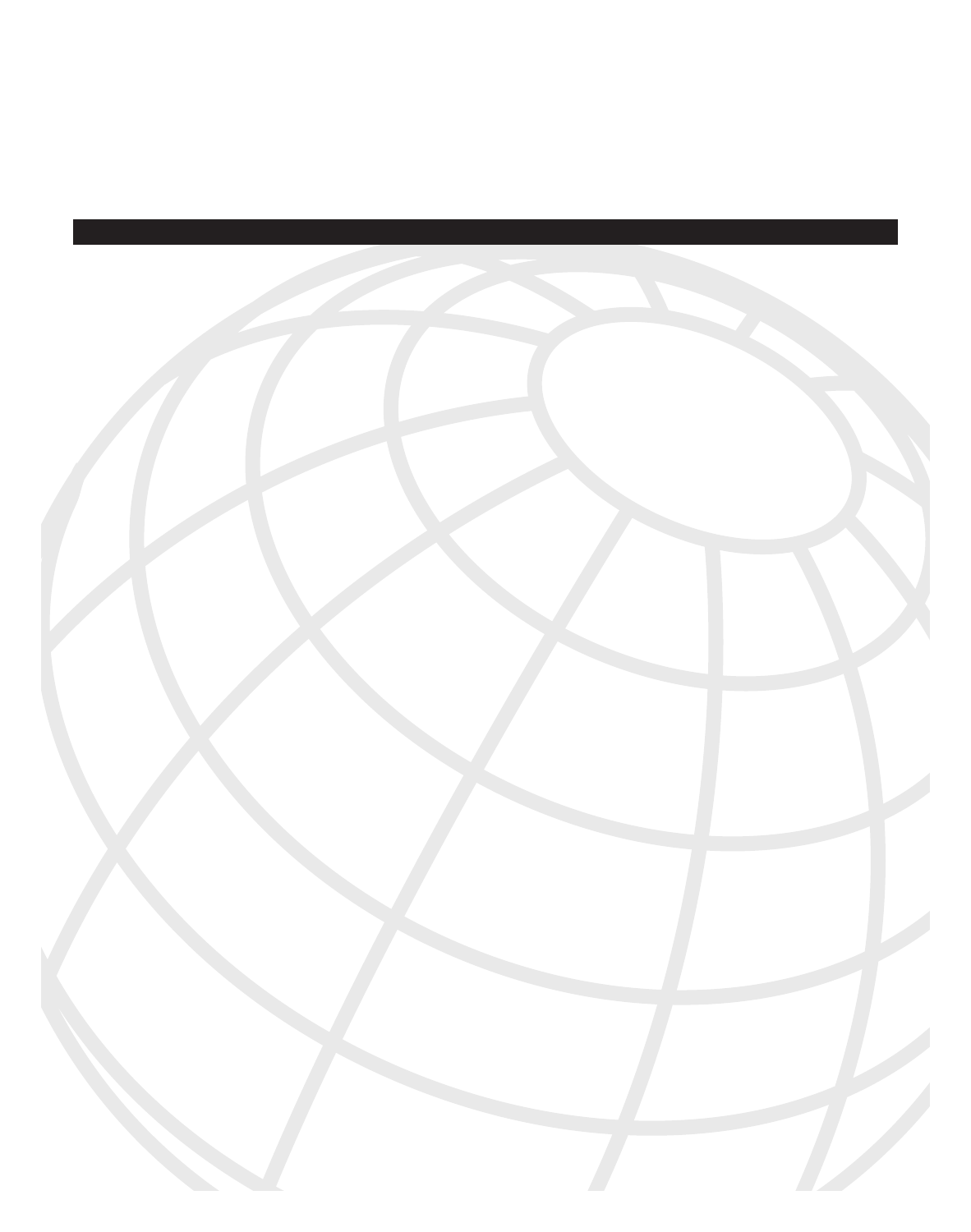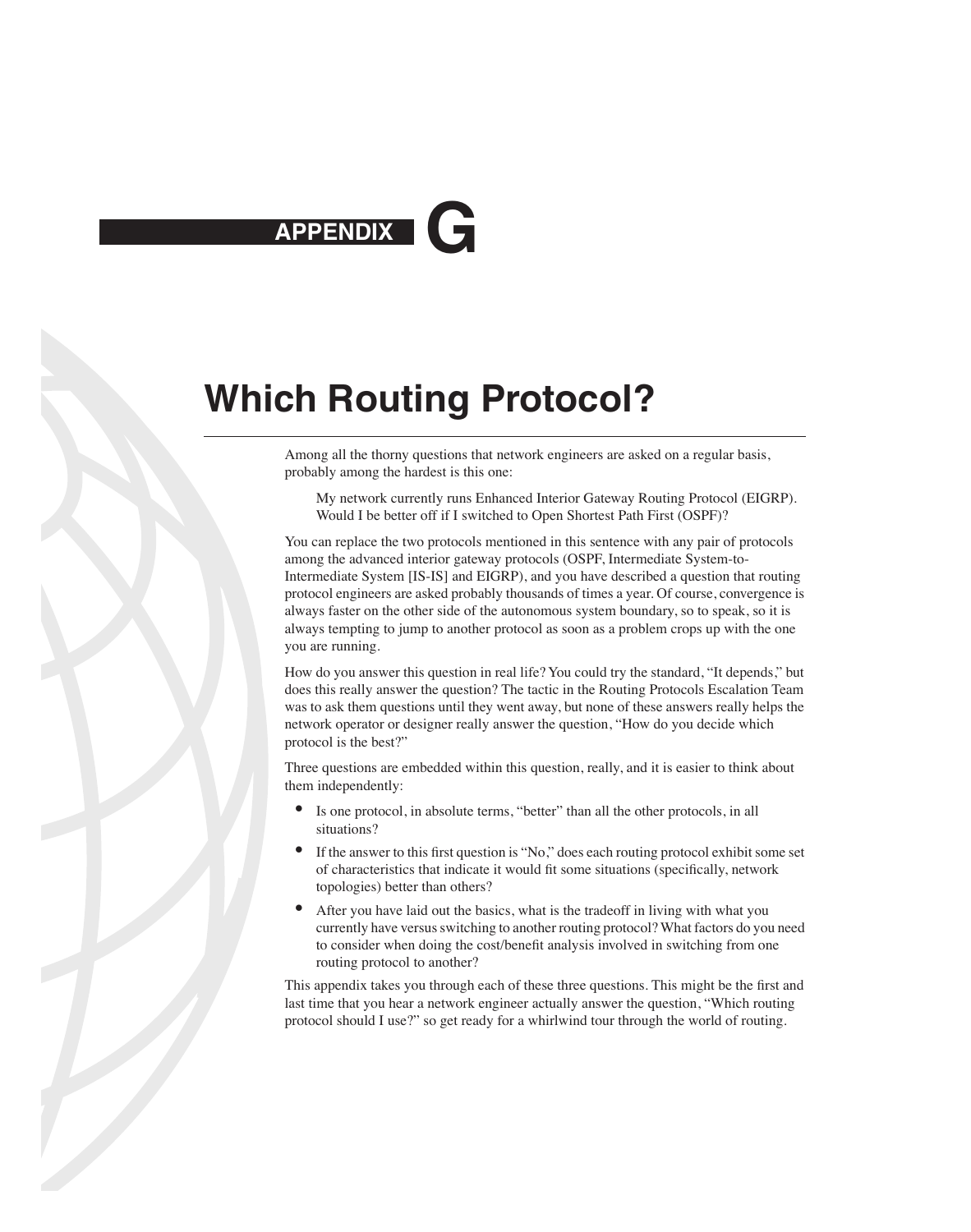# **APPENDIX G**

# **Which Routing Protocol?**

Among all the thorny questions that network engineers are asked on a regular basis, probably among the hardest is this one:

My network currently runs Enhanced Interior Gateway Routing Protocol (EIGRP). Would I be better off if I switched to Open Shortest Path First (OSPF)?

You can replace the two protocols mentioned in this sentence with any pair of protocols among the advanced interior gateway protocols (OSPF, Intermediate System-to-Intermediate System [IS-IS] and EIGRP), and you have described a question that routing protocol engineers are asked probably thousands of times a year. Of course, convergence is always faster on the other side of the autonomous system boundary, so to speak, so it is always tempting to jump to another protocol as soon as a problem crops up with the one you are running.

How do you answer this question in real life? You could try the standard, "It depends," but does this really answer the question? The tactic in the Routing Protocols Escalation Team was to ask them questions until they went away, but none of these answers really helps the network operator or designer really answer the question, "How do you decide which protocol is the best?"

Three questions are embedded within this question, really, and it is easier to think about them independently:

- Is one protocol, in absolute terms, "better" than all the other protocols, in all situations?
- If the answer to this first question is "No," does each routing protocol exhibit some set of characteristics that indicate it would fit some situations (specifically, network topologies) better than others?
- After you have laid out the basics, what is the tradeoff in living with what you currently have versus switching to another routing protocol? What factors do you need to consider when doing the cost/benefit analysis involved in switching from one routing protocol to another?

This appendix takes you through each of these three questions. This might be the first and last time that you hear a network engineer actually answer the question, "Which routing protocol should I use?" so get ready for a whirlwind tour through the world of routing.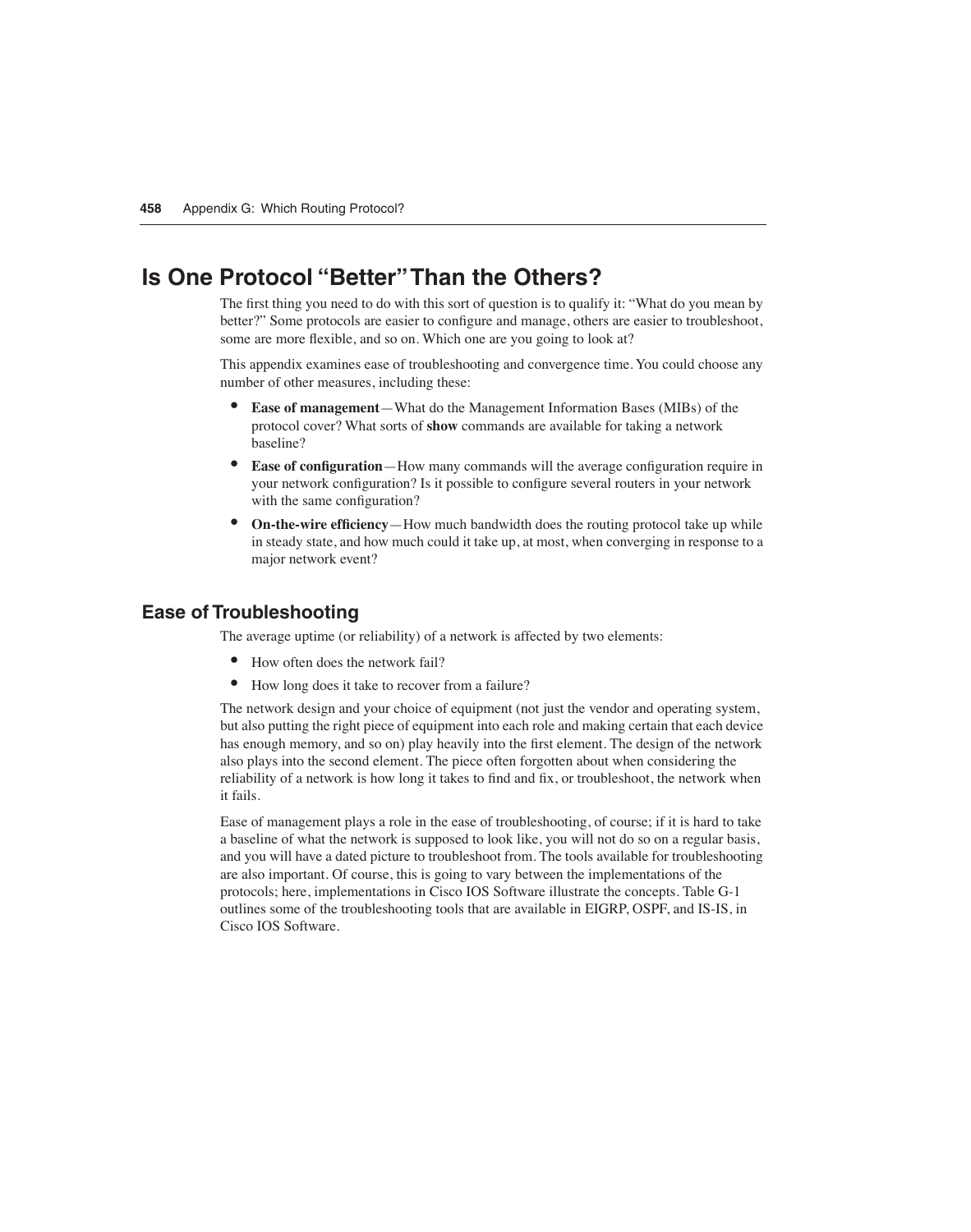### **Is One Protocol "Better" Than the Others?**

The first thing you need to do with this sort of question is to qualify it: "What do you mean by better?" Some protocols are easier to configure and manage, others are easier to troubleshoot, some are more flexible, and so on. Which one are you going to look at?

This appendix examines ease of troubleshooting and convergence time. You could choose any number of other measures, including these:

- **Ease of management**—What do the Management Information Bases (MIBs) of the protocol cover? What sorts of **show** commands are available for taking a network baseline?
- **Ease of configuration**—How many commands will the average configuration require in your network configuration? Is it possible to configure several routers in your network with the same configuration?
- **On-the-wire efficiency**—How much bandwidth does the routing protocol take up while in steady state, and how much could it take up, at most, when converging in response to a major network event?

#### **Ease of Troubleshooting**

The average uptime (or reliability) of a network is affected by two elements:

- How often does the network fail?
- How long does it take to recover from a failure?

The network design and your choice of equipment (not just the vendor and operating system, but also putting the right piece of equipment into each role and making certain that each device has enough memory, and so on) play heavily into the first element. The design of the network also plays into the second element. The piece often forgotten about when considering the reliability of a network is how long it takes to find and fix, or troubleshoot, the network when it fails.

Ease of management plays a role in the ease of troubleshooting, of course; if it is hard to take a baseline of what the network is supposed to look like, you will not do so on a regular basis, and you will have a dated picture to troubleshoot from. The tools available for troubleshooting are also important. Of course, this is going to vary between the implementations of the protocols; here, implementations in Cisco IOS Software illustrate the concepts. Table G-1 outlines some of the troubleshooting tools that are available in EIGRP, OSPF, and IS-IS, in Cisco IOS Software.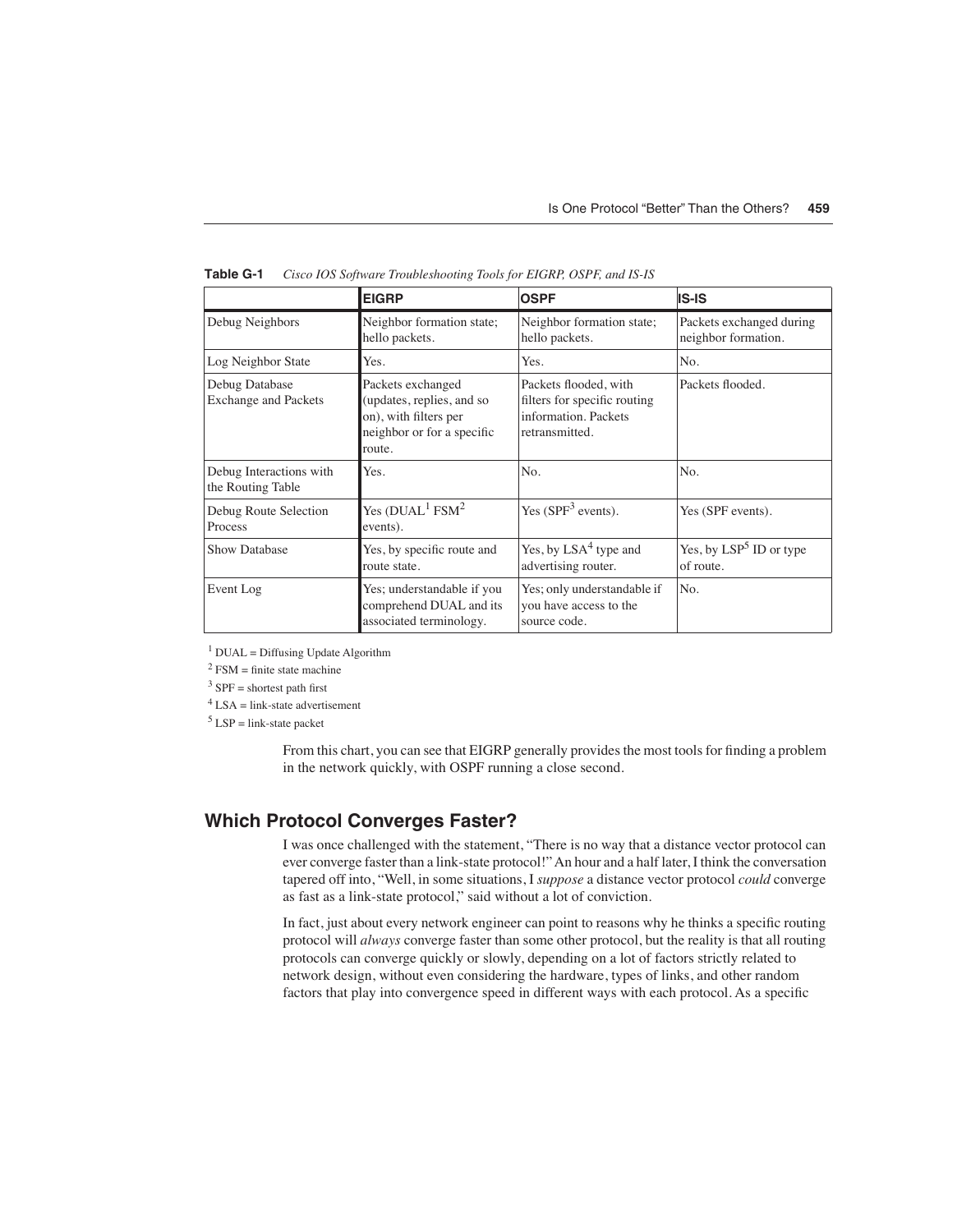|                                               | <b>EIGRP</b>                                                                                                    | <b>OSPF</b>                                                                                     | <b>IS-IS</b>                                    |
|-----------------------------------------------|-----------------------------------------------------------------------------------------------------------------|-------------------------------------------------------------------------------------------------|-------------------------------------------------|
| Debug Neighbors                               | Neighbor formation state;<br>hello packets.                                                                     | Neighbor formation state;<br>hello packets.                                                     | Packets exchanged during<br>neighbor formation. |
| Log Neighbor State                            | Yes.                                                                                                            | Yes.                                                                                            | No.                                             |
| Debug Database<br><b>Exchange and Packets</b> | Packets exchanged<br>(updates, replies, and so<br>on), with filters per<br>neighbor or for a specific<br>route. | Packets flooded, with<br>filters for specific routing<br>information. Packets<br>retransmitted. | Packets flooded.                                |
| Debug Interactions with<br>the Routing Table  | Yes.                                                                                                            | No.                                                                                             | No.                                             |
| Debug Route Selection<br>Process              | Yes $(DUAL1 FSM2$<br>events).                                                                                   | Yes $(SPF3$ events).                                                                            | Yes (SPF events).                               |
| <b>Show Database</b>                          | Yes, by specific route and<br>route state.                                                                      | Yes, by $LSA4$ type and<br>advertising router.                                                  | Yes, by $LSP5$ ID or type<br>of route.          |
| Event Log                                     | Yes; understandable if you<br>comprehend DUAL and its<br>associated terminology.                                | Yes; only understandable if<br>you have access to the<br>source code.                           | No.                                             |

**Table G-1** *Cisco IOS Software Troubleshooting Tools for EIGRP, OSPF, and IS-IS*

 $1$  DUAL = Diffusing Update Algorithm

 $2$  FSM = finite state machine

 $3$  SPF = shortest path first

 $4$  LSA = link-state advertisement

 $5$  LSP = link-state packet

From this chart, you can see that EIGRP generally provides the most tools for finding a problem in the network quickly, with OSPF running a close second.

#### **Which Protocol Converges Faster?**

I was once challenged with the statement, "There is no way that a distance vector protocol can ever converge faster than a link-state protocol!" An hour and a half later, I think the conversation tapered off into, "Well, in some situations, I *suppose* a distance vector protocol *could* converge as fast as a link-state protocol," said without a lot of conviction.

In fact, just about every network engineer can point to reasons why he thinks a specific routing protocol will *always* converge faster than some other protocol, but the reality is that all routing protocols can converge quickly or slowly, depending on a lot of factors strictly related to network design, without even considering the hardware, types of links, and other random factors that play into convergence speed in different ways with each protocol. As a specific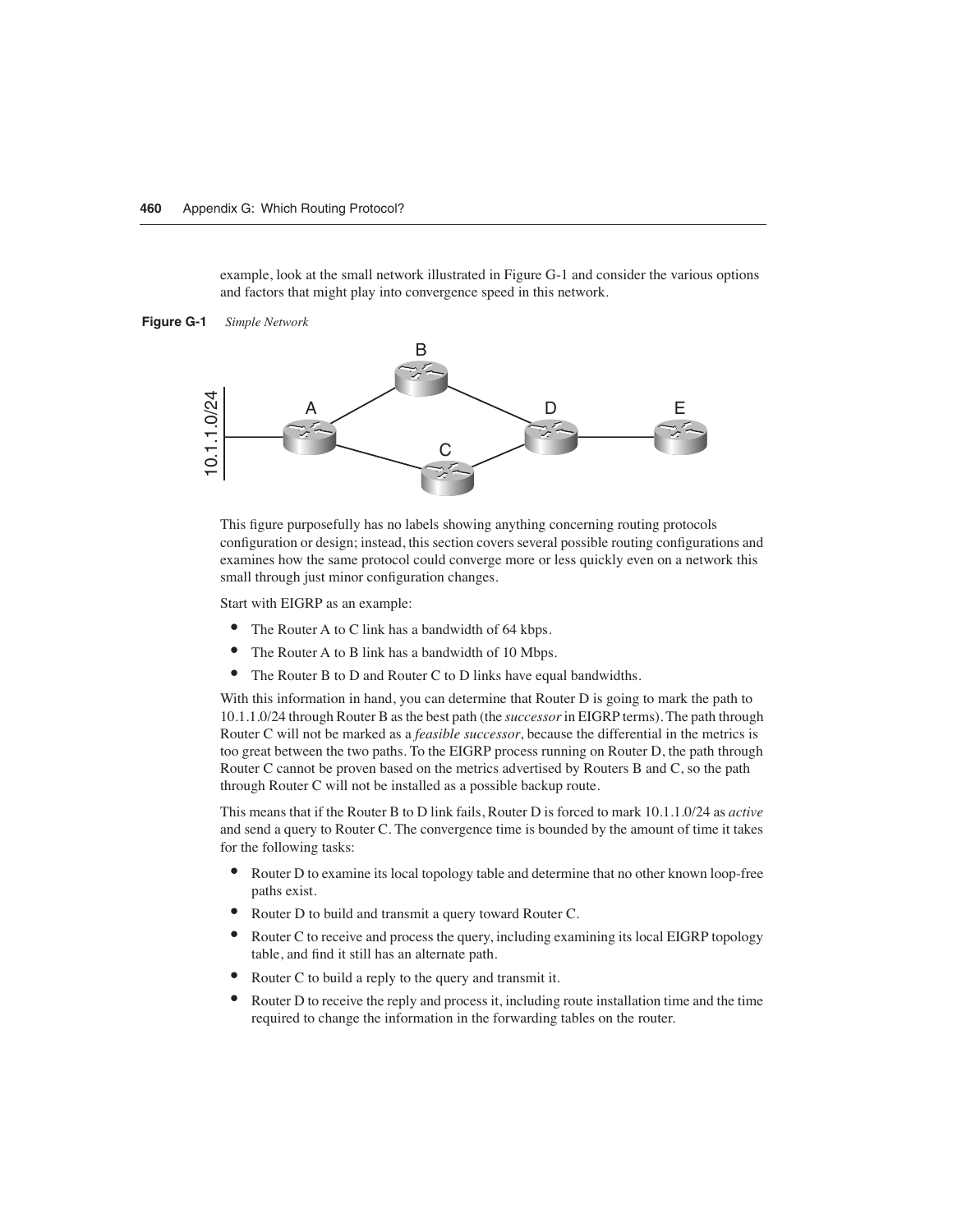example, look at the small network illustrated in Figure G-1 and consider the various options and factors that might play into convergence speed in this network.





This figure purposefully has no labels showing anything concerning routing protocols configuration or design; instead, this section covers several possible routing configurations and examines how the same protocol could converge more or less quickly even on a network this small through just minor configuration changes.

Start with EIGRP as an example:

- The Router A to C link has a bandwidth of 64 kbps.
- The Router A to B link has a bandwidth of 10 Mbps.
- The Router B to D and Router C to D links have equal bandwidths.

With this information in hand, you can determine that Router D is going to mark the path to 10.1.1.0/24 through Router B as the best path (the *successor*in EIGRP terms). The path through Router C will not be marked as a *feasible successor*, because the differential in the metrics is too great between the two paths. To the EIGRP process running on Router D, the path through Router C cannot be proven based on the metrics advertised by Routers B and C, so the path through Router C will not be installed as a possible backup route.

This means that if the Router B to D link fails, Router D is forced to mark 10.1.1.0/24 as *active* and send a query to Router C. The convergence time is bounded by the amount of time it takes for the following tasks:

- Router D to examine its local topology table and determine that no other known loop-free paths exist.
- Router D to build and transmit a query toward Router C.
- Router C to receive and process the query, including examining its local EIGRP topology table, and find it still has an alternate path.
- Router C to build a reply to the query and transmit it.
- Router D to receive the reply and process it, including route installation time and the time required to change the information in the forwarding tables on the router.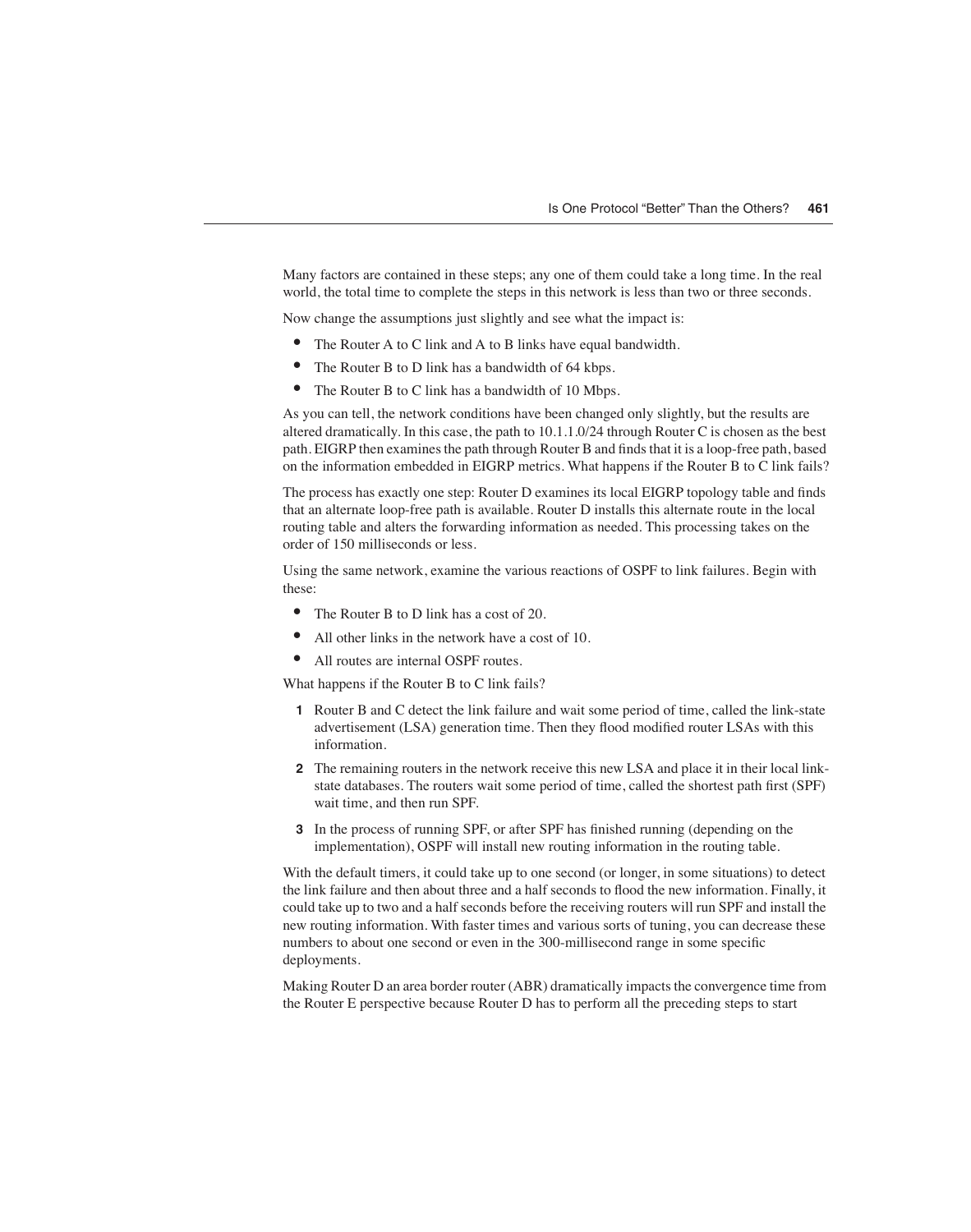Many factors are contained in these steps; any one of them could take a long time. In the real world, the total time to complete the steps in this network is less than two or three seconds.

Now change the assumptions just slightly and see what the impact is:

- The Router A to C link and A to B links have equal bandwidth.
- The Router B to D link has a bandwidth of 64 kbps.
- The Router B to C link has a bandwidth of 10 Mbps.

As you can tell, the network conditions have been changed only slightly, but the results are altered dramatically. In this case, the path to 10.1.1.0/24 through Router C is chosen as the best path. EIGRP then examines the path through Router B and finds that it is a loop-free path, based on the information embedded in EIGRP metrics. What happens if the Router B to C link fails?

The process has exactly one step: Router D examines its local EIGRP topology table and finds that an alternate loop-free path is available. Router D installs this alternate route in the local routing table and alters the forwarding information as needed. This processing takes on the order of 150 milliseconds or less.

Using the same network, examine the various reactions of OSPF to link failures. Begin with these:

- The Router B to D link has a cost of 20.
- All other links in the network have a cost of 10.
- All routes are internal OSPF routes.

What happens if the Router B to C link fails?

- **1** Router B and C detect the link failure and wait some period of time, called the link-state advertisement (LSA) generation time. Then they flood modified router LSAs with this information.
- **2** The remaining routers in the network receive this new LSA and place it in their local linkstate databases. The routers wait some period of time, called the shortest path first (SPF) wait time, and then run SPF.
- **3** In the process of running SPF, or after SPF has finished running (depending on the implementation), OSPF will install new routing information in the routing table.

With the default timers, it could take up to one second (or longer, in some situations) to detect the link failure and then about three and a half seconds to flood the new information. Finally, it could take up to two and a half seconds before the receiving routers will run SPF and install the new routing information. With faster times and various sorts of tuning, you can decrease these numbers to about one second or even in the 300-millisecond range in some specific deployments.

Making Router D an area border router (ABR) dramatically impacts the convergence time from the Router E perspective because Router D has to perform all the preceding steps to start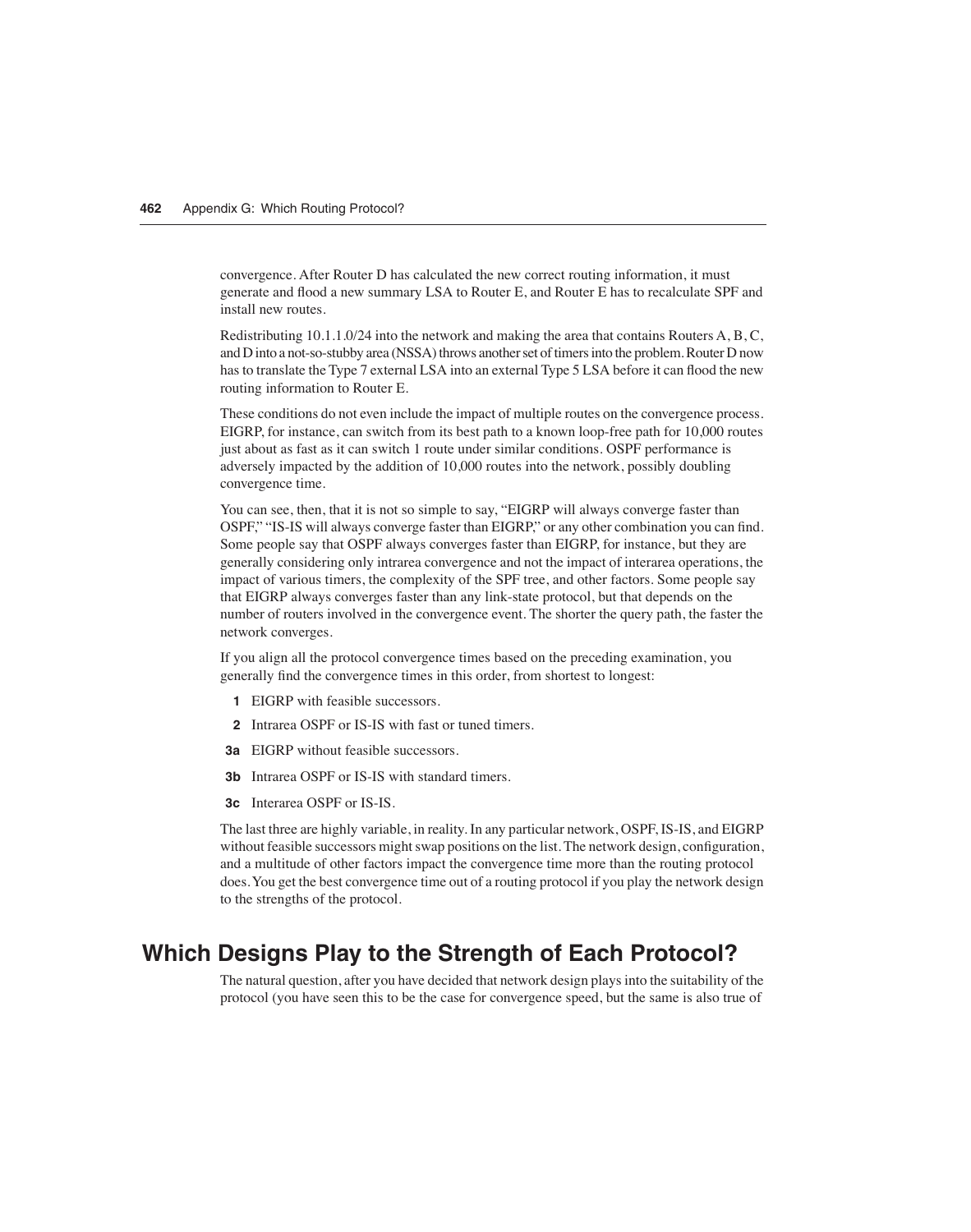convergence. After Router D has calculated the new correct routing information, it must generate and flood a new summary LSA to Router E, and Router E has to recalculate SPF and install new routes.

Redistributing 10.1.1.0/24 into the network and making the area that contains Routers A, B, C, and D into a not-so-stubby area (NSSA) throws another set of timers into the problem. Router D now has to translate the Type 7 external LSA into an external Type 5 LSA before it can flood the new routing information to Router E.

These conditions do not even include the impact of multiple routes on the convergence process. EIGRP, for instance, can switch from its best path to a known loop-free path for 10,000 routes just about as fast as it can switch 1 route under similar conditions. OSPF performance is adversely impacted by the addition of 10,000 routes into the network, possibly doubling convergence time.

You can see, then, that it is not so simple to say, "EIGRP will always converge faster than OSPF," "IS-IS will always converge faster than EIGRP," or any other combination you can find. Some people say that OSPF always converges faster than EIGRP, for instance, but they are generally considering only intrarea convergence and not the impact of interarea operations, the impact of various timers, the complexity of the SPF tree, and other factors. Some people say that EIGRP always converges faster than any link-state protocol, but that depends on the number of routers involved in the convergence event. The shorter the query path, the faster the network converges.

If you align all the protocol convergence times based on the preceding examination, you generally find the convergence times in this order, from shortest to longest:

- **1** EIGRP with feasible successors.
- **2** Intrarea OSPF or IS-IS with fast or tuned timers.
- **3a** EIGRP without feasible successors.
- **3b** Intrarea OSPF or IS-IS with standard timers.
- **3c** Interarea OSPF or IS-IS.

The last three are highly variable, in reality. In any particular network, OSPF, IS-IS, and EIGRP without feasible successors might swap positions on the list. The network design, configuration, and a multitude of other factors impact the convergence time more than the routing protocol does. You get the best convergence time out of a routing protocol if you play the network design to the strengths of the protocol.

# **Which Designs Play to the Strength of Each Protocol?**

The natural question, after you have decided that network design plays into the suitability of the protocol (you have seen this to be the case for convergence speed, but the same is also true of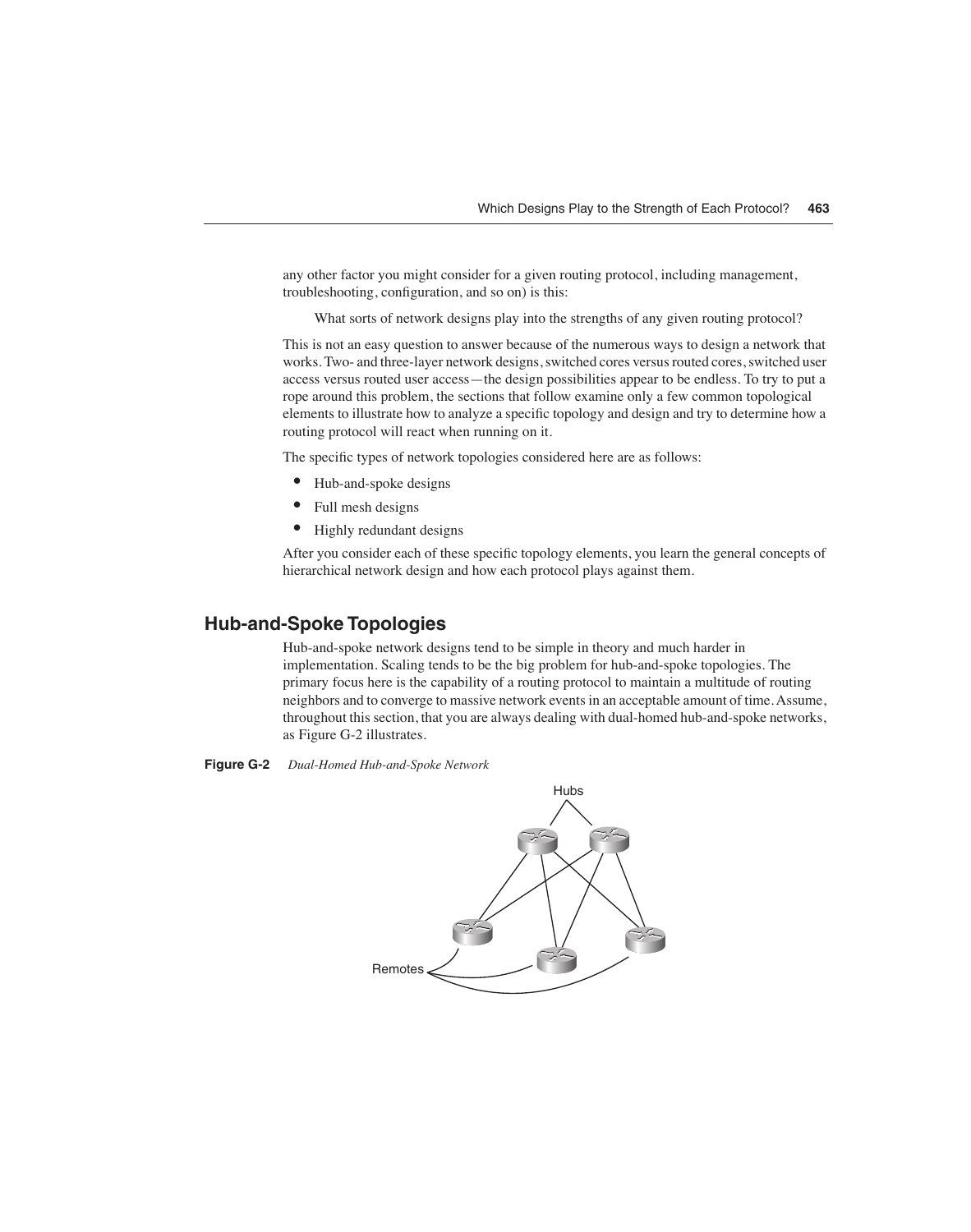any other factor you might consider for a given routing protocol, including management, troubleshooting, configuration, and so on) is this:

What sorts of network designs play into the strengths of any given routing protocol?

This is not an easy question to answer because of the numerous ways to design a network that works. Two- and three-layer network designs, switched cores versus routed cores, switched user access versus routed user access—the design possibilities appear to be endless. To try to put a rope around this problem, the sections that follow examine only a few common topological elements to illustrate how to analyze a specific topology and design and try to determine how a routing protocol will react when running on it.

The specific types of network topologies considered here are as follows:

- Hub-and-spoke designs
- Full mesh designs
- Highly redundant designs

After you consider each of these specific topology elements, you learn the general concepts of hierarchical network design and how each protocol plays against them.

#### **Hub-and-Spoke Topologies**

Hub-and-spoke network designs tend to be simple in theory and much harder in implementation. Scaling tends to be the big problem for hub-and-spoke topologies. The primary focus here is the capability of a routing protocol to maintain a multitude of routing neighbors and to converge to massive network events in an acceptable amount of time. Assume, throughout this section, that you are always dealing with dual-homed hub-and-spoke networks, as Figure G-2 illustrates.



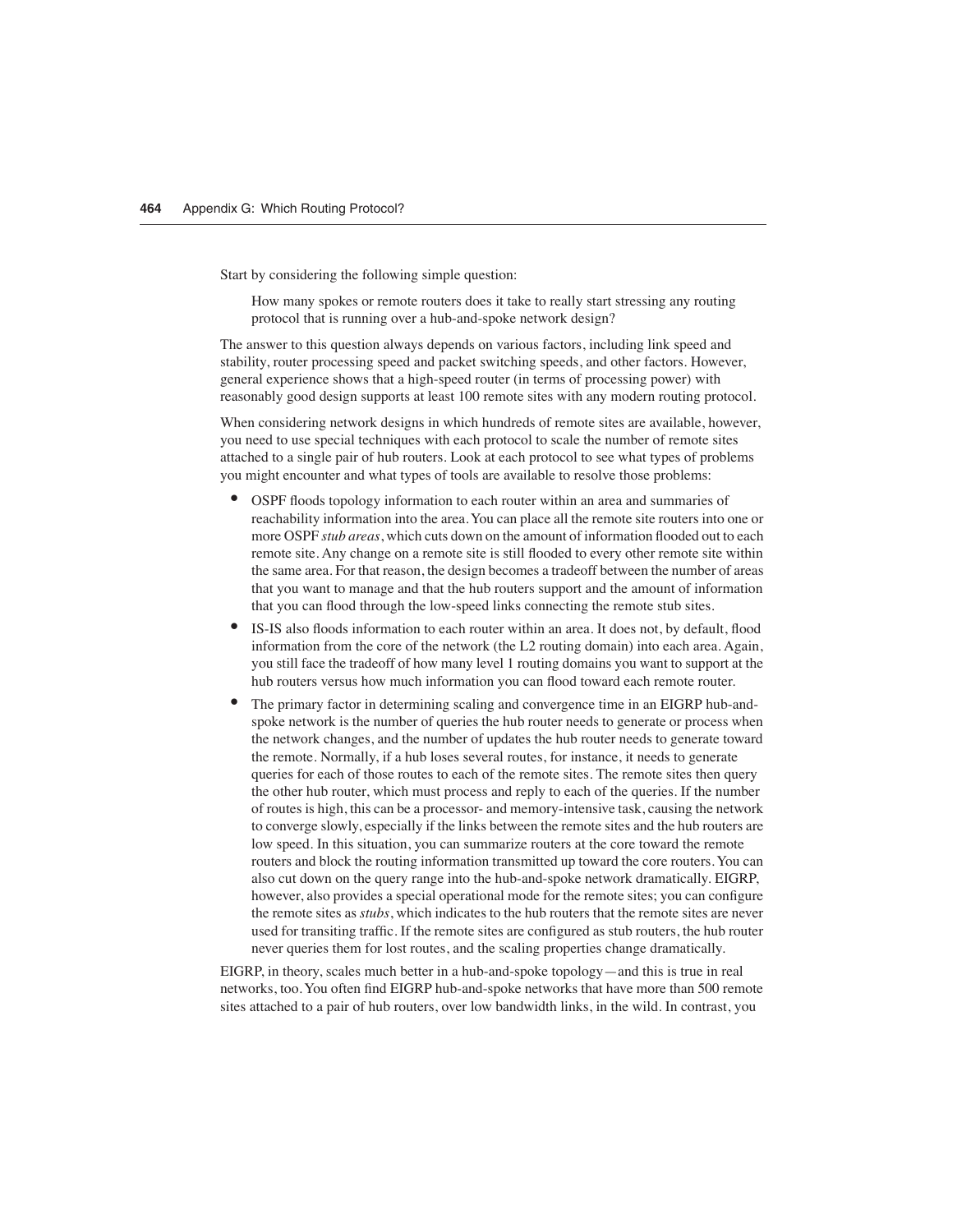Start by considering the following simple question:

How many spokes or remote routers does it take to really start stressing any routing protocol that is running over a hub-and-spoke network design?

The answer to this question always depends on various factors, including link speed and stability, router processing speed and packet switching speeds, and other factors. However, general experience shows that a high-speed router (in terms of processing power) with reasonably good design supports at least 100 remote sites with any modern routing protocol.

When considering network designs in which hundreds of remote sites are available, however, you need to use special techniques with each protocol to scale the number of remote sites attached to a single pair of hub routers. Look at each protocol to see what types of problems you might encounter and what types of tools are available to resolve those problems:

- OSPF floods topology information to each router within an area and summaries of reachability information into the area. You can place all the remote site routers into one or more OSPF *stub areas*, which cuts down on the amount of information flooded out to each remote site. Any change on a remote site is still flooded to every other remote site within the same area. For that reason, the design becomes a tradeoff between the number of areas that you want to manage and that the hub routers support and the amount of information that you can flood through the low-speed links connecting the remote stub sites.
- IS-IS also floods information to each router within an area. It does not, by default, flood information from the core of the network (the L2 routing domain) into each area. Again, you still face the tradeoff of how many level 1 routing domains you want to support at the hub routers versus how much information you can flood toward each remote router.
- The primary factor in determining scaling and convergence time in an EIGRP hub-andspoke network is the number of queries the hub router needs to generate or process when the network changes, and the number of updates the hub router needs to generate toward the remote. Normally, if a hub loses several routes, for instance, it needs to generate queries for each of those routes to each of the remote sites. The remote sites then query the other hub router, which must process and reply to each of the queries. If the number of routes is high, this can be a processor- and memory-intensive task, causing the network to converge slowly, especially if the links between the remote sites and the hub routers are low speed. In this situation, you can summarize routers at the core toward the remote routers and block the routing information transmitted up toward the core routers. You can also cut down on the query range into the hub-and-spoke network dramatically. EIGRP, however, also provides a special operational mode for the remote sites; you can configure the remote sites as *stubs*, which indicates to the hub routers that the remote sites are never used for transiting traffic. If the remote sites are configured as stub routers, the hub router never queries them for lost routes, and the scaling properties change dramatically.

EIGRP, in theory, scales much better in a hub-and-spoke topology—and this is true in real networks, too. You often find EIGRP hub-and-spoke networks that have more than 500 remote sites attached to a pair of hub routers, over low bandwidth links, in the wild. In contrast, you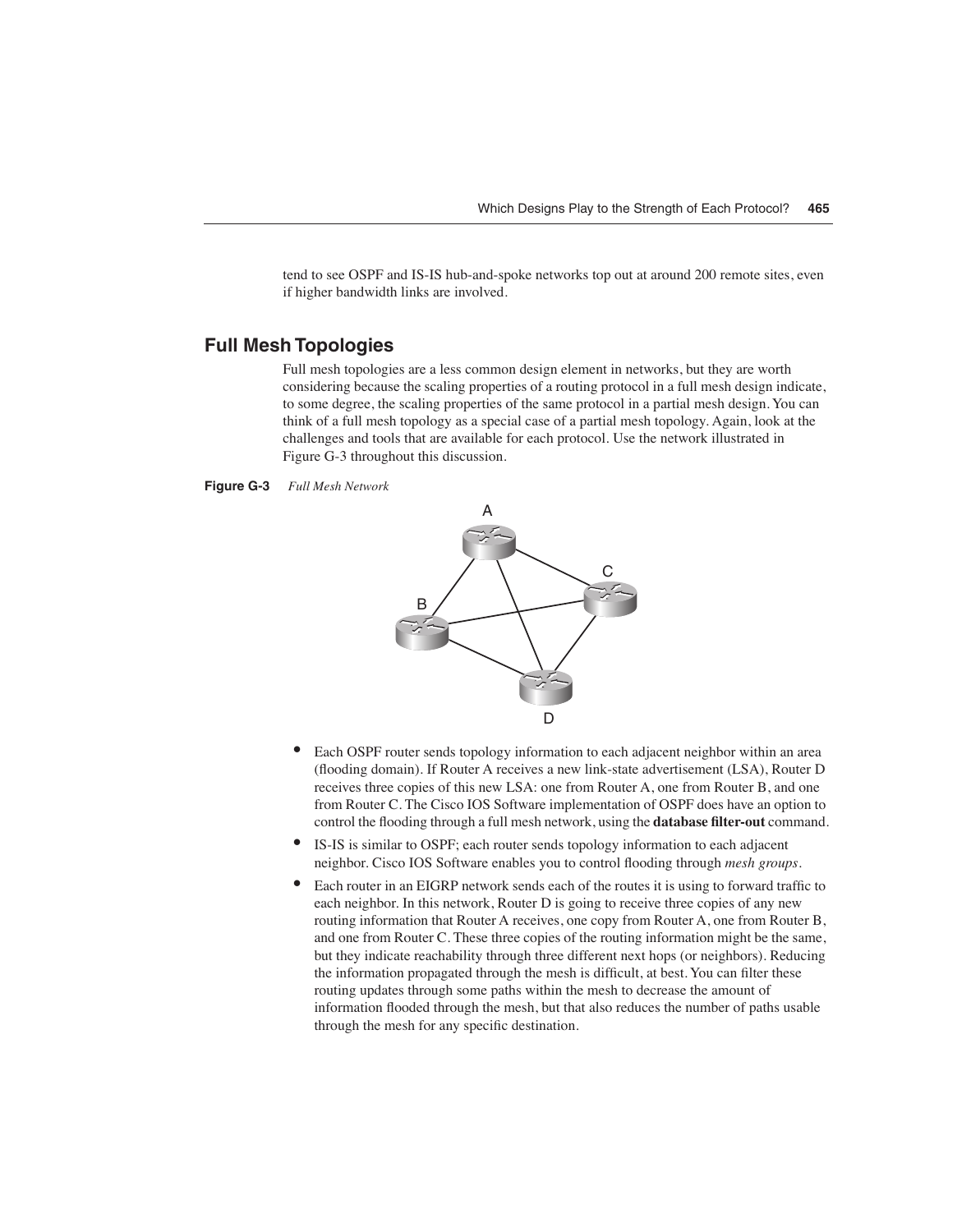tend to see OSPF and IS-IS hub-and-spoke networks top out at around 200 remote sites, even if higher bandwidth links are involved.

#### **Full Mesh Topologies**

Full mesh topologies are a less common design element in networks, but they are worth considering because the scaling properties of a routing protocol in a full mesh design indicate, to some degree, the scaling properties of the same protocol in a partial mesh design. You can think of a full mesh topology as a special case of a partial mesh topology. Again, look at the challenges and tools that are available for each protocol. Use the network illustrated in Figure G-3 throughout this discussion.

**Figure G-3** *Full Mesh Network*



- Each OSPF router sends topology information to each adjacent neighbor within an area (flooding domain). If Router A receives a new link-state advertisement (LSA), Router D receives three copies of this new LSA: one from Router A, one from Router B, and one from Router C. The Cisco IOS Software implementation of OSPF does have an option to control the flooding through a full mesh network, using the **database filter-out** command.
- IS-IS is similar to OSPF; each router sends topology information to each adjacent neighbor. Cisco IOS Software enables you to control flooding through *mesh groups*.
- Each router in an EIGRP network sends each of the routes it is using to forward traffic to each neighbor. In this network, Router D is going to receive three copies of any new routing information that Router A receives, one copy from Router A, one from Router B, and one from Router C. These three copies of the routing information might be the same, but they indicate reachability through three different next hops (or neighbors). Reducing the information propagated through the mesh is difficult, at best. You can filter these routing updates through some paths within the mesh to decrease the amount of information flooded through the mesh, but that also reduces the number of paths usable through the mesh for any specific destination.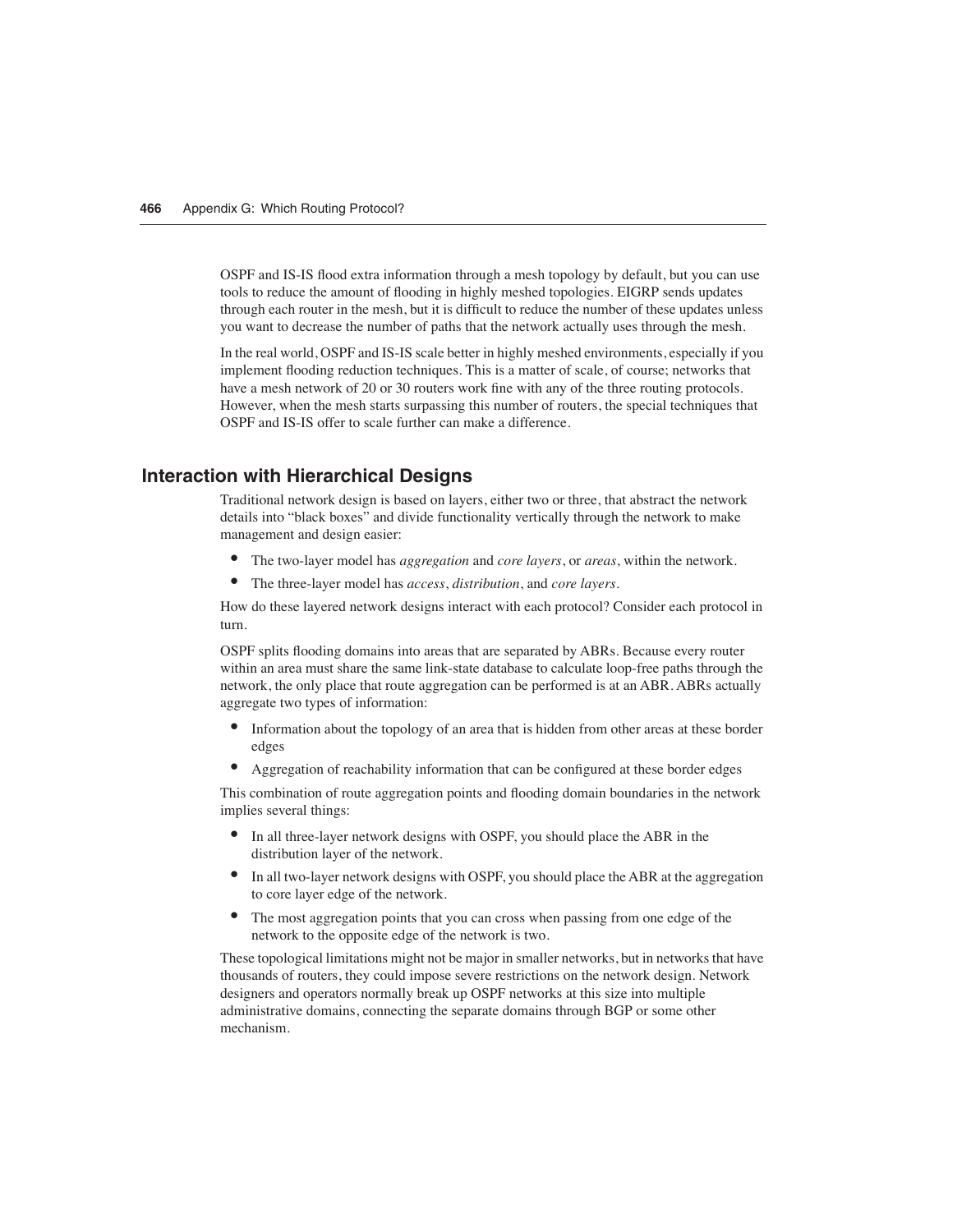OSPF and IS-IS flood extra information through a mesh topology by default, but you can use tools to reduce the amount of flooding in highly meshed topologies. EIGRP sends updates through each router in the mesh, but it is difficult to reduce the number of these updates unless you want to decrease the number of paths that the network actually uses through the mesh.

In the real world, OSPF and IS-IS scale better in highly meshed environments, especially if you implement flooding reduction techniques. This is a matter of scale, of course; networks that have a mesh network of 20 or 30 routers work fine with any of the three routing protocols. However, when the mesh starts surpassing this number of routers, the special techniques that OSPF and IS-IS offer to scale further can make a difference.

#### **Interaction with Hierarchical Designs**

Traditional network design is based on layers, either two or three, that abstract the network details into "black boxes" and divide functionality vertically through the network to make management and design easier:

- The two-layer model has *aggregation* and *core layers*, or *areas*, within the network.
- The three-layer model has *access*, *distribution*, and *core layers*.

How do these layered network designs interact with each protocol? Consider each protocol in turn.

OSPF splits flooding domains into areas that are separated by ABRs. Because every router within an area must share the same link-state database to calculate loop-free paths through the network, the only place that route aggregation can be performed is at an ABR. ABRs actually aggregate two types of information:

- Information about the topology of an area that is hidden from other areas at these border edges
- Aggregation of reachability information that can be configured at these border edges

This combination of route aggregation points and flooding domain boundaries in the network implies several things:

- In all three-layer network designs with OSPF, you should place the ABR in the distribution layer of the network.
- In all two-layer network designs with OSPF, you should place the ABR at the aggregation to core layer edge of the network.
- The most aggregation points that you can cross when passing from one edge of the network to the opposite edge of the network is two.

These topological limitations might not be major in smaller networks, but in networks that have thousands of routers, they could impose severe restrictions on the network design. Network designers and operators normally break up OSPF networks at this size into multiple administrative domains, connecting the separate domains through BGP or some other mechanism.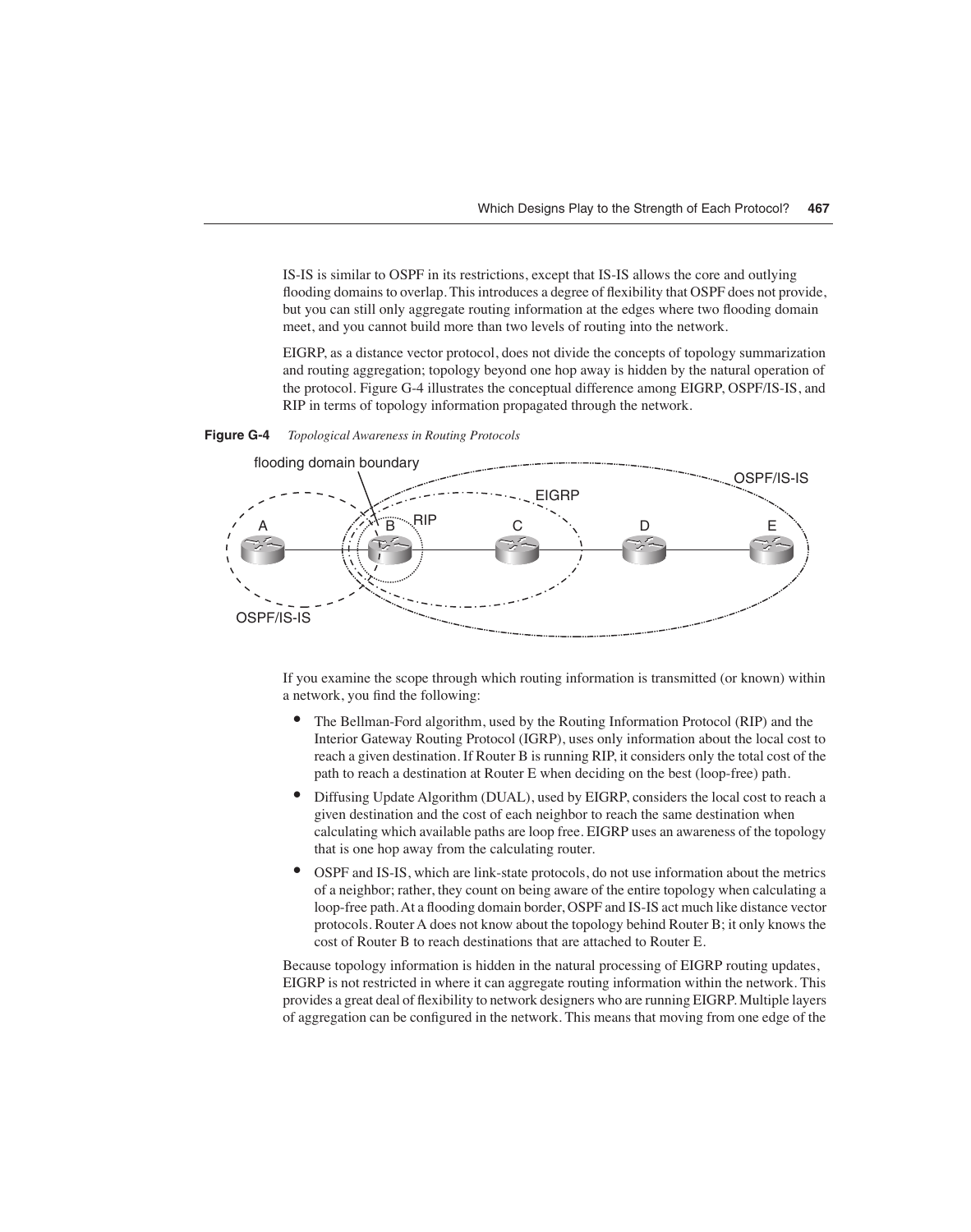IS-IS is similar to OSPF in its restrictions, except that IS-IS allows the core and outlying flooding domains to overlap. This introduces a degree of flexibility that OSPF does not provide, but you can still only aggregate routing information at the edges where two flooding domain meet, and you cannot build more than two levels of routing into the network.

EIGRP, as a distance vector protocol, does not divide the concepts of topology summarization and routing aggregation; topology beyond one hop away is hidden by the natural operation of the protocol. Figure G-4 illustrates the conceptual difference among EIGRP, OSPF/IS-IS, and RIP in terms of topology information propagated through the network.





If you examine the scope through which routing information is transmitted (or known) within a network, you find the following:

- The Bellman-Ford algorithm, used by the Routing Information Protocol (RIP) and the Interior Gateway Routing Protocol (IGRP), uses only information about the local cost to reach a given destination. If Router B is running RIP, it considers only the total cost of the path to reach a destination at Router E when deciding on the best (loop-free) path.
- Diffusing Update Algorithm (DUAL), used by EIGRP, considers the local cost to reach a given destination and the cost of each neighbor to reach the same destination when calculating which available paths are loop free. EIGRP uses an awareness of the topology that is one hop away from the calculating router.
- OSPF and IS-IS, which are link-state protocols, do not use information about the metrics of a neighbor; rather, they count on being aware of the entire topology when calculating a loop-free path. At a flooding domain border, OSPF and IS-IS act much like distance vector protocols. Router A does not know about the topology behind Router B; it only knows the cost of Router B to reach destinations that are attached to Router E.

Because topology information is hidden in the natural processing of EIGRP routing updates, EIGRP is not restricted in where it can aggregate routing information within the network. This provides a great deal of flexibility to network designers who are running EIGRP. Multiple layers of aggregation can be configured in the network. This means that moving from one edge of the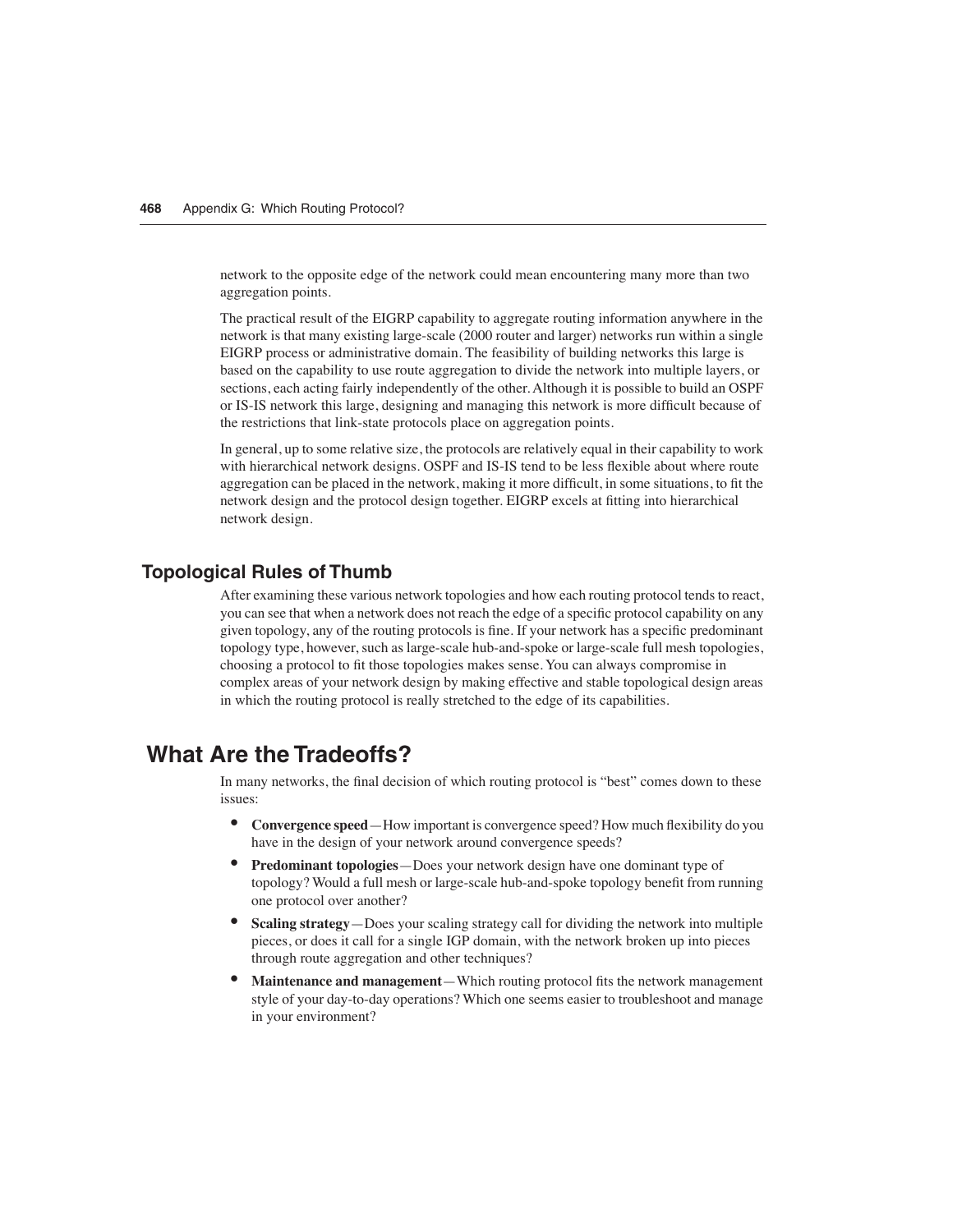network to the opposite edge of the network could mean encountering many more than two aggregation points.

The practical result of the EIGRP capability to aggregate routing information anywhere in the network is that many existing large-scale (2000 router and larger) networks run within a single EIGRP process or administrative domain. The feasibility of building networks this large is based on the capability to use route aggregation to divide the network into multiple layers, or sections, each acting fairly independently of the other. Although it is possible to build an OSPF or IS-IS network this large, designing and managing this network is more difficult because of the restrictions that link-state protocols place on aggregation points.

In general, up to some relative size, the protocols are relatively equal in their capability to work with hierarchical network designs. OSPF and IS-IS tend to be less flexible about where route aggregation can be placed in the network, making it more difficult, in some situations, to fit the network design and the protocol design together. EIGRP excels at fitting into hierarchical network design.

#### **Topological Rules of Thumb**

After examining these various network topologies and how each routing protocol tends to react, you can see that when a network does not reach the edge of a specific protocol capability on any given topology, any of the routing protocols is fine. If your network has a specific predominant topology type, however, such as large-scale hub-and-spoke or large-scale full mesh topologies, choosing a protocol to fit those topologies makes sense. You can always compromise in complex areas of your network design by making effective and stable topological design areas in which the routing protocol is really stretched to the edge of its capabilities.

## **What Are the Tradeoffs?**

In many networks, the final decision of which routing protocol is "best" comes down to these issues:

- **Convergence speed**—How important is convergence speed? How much flexibility do you have in the design of your network around convergence speeds?
- **Predominant topologies**—Does your network design have one dominant type of topology? Would a full mesh or large-scale hub-and-spoke topology benefit from running one protocol over another?
- **Scaling strategy**—Does your scaling strategy call for dividing the network into multiple pieces, or does it call for a single IGP domain, with the network broken up into pieces through route aggregation and other techniques?
- **Maintenance and management**—Which routing protocol fits the network management style of your day-to-day operations? Which one seems easier to troubleshoot and manage in your environment?